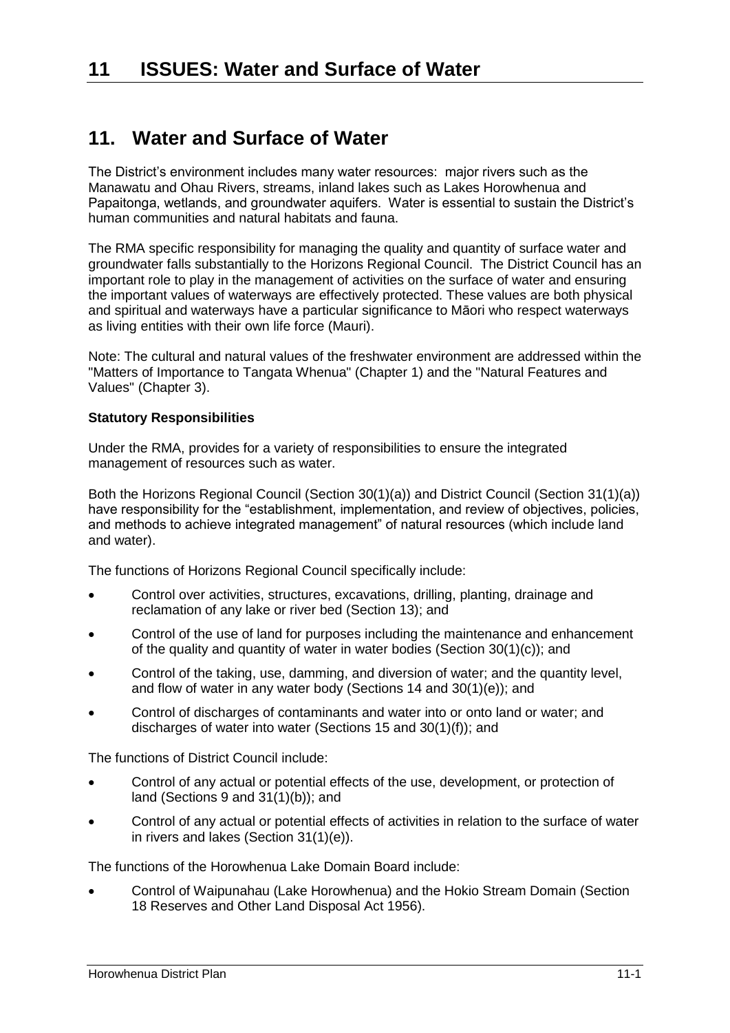# **11. Water and Surface of Water**

The District's environment includes many water resources: major rivers such as the Manawatu and Ohau Rivers, streams, inland lakes such as Lakes Horowhenua and Papaitonga, wetlands, and groundwater aquifers. Water is essential to sustain the District's human communities and natural habitats and fauna.

The RMA specific responsibility for managing the quality and quantity of surface water and groundwater falls substantially to the Horizons Regional Council. The District Council has an important role to play in the management of activities on the surface of water and ensuring the important values of waterways are effectively protected. These values are both physical and spiritual and waterways have a particular significance to Māori who respect waterways as living entities with their own life force (Mauri).

Note: The cultural and natural values of the freshwater environment are addressed within the "Matters of Importance to Tangata Whenua" (Chapter 1) and the "Natural Features and Values" (Chapter 3).

#### **Statutory Responsibilities**

Under the RMA, provides for a variety of responsibilities to ensure the integrated management of resources such as water.

Both the Horizons Regional Council (Section 30(1)(a)) and District Council (Section 31(1)(a)) have responsibility for the "establishment, implementation, and review of objectives, policies, and methods to achieve integrated management" of natural resources (which include land and water).

The functions of Horizons Regional Council specifically include:

- Control over activities, structures, excavations, drilling, planting, drainage and reclamation of any lake or river bed (Section 13); and
- Control of the use of land for purposes including the maintenance and enhancement of the quality and quantity of water in water bodies (Section 30(1)(c)); and
- Control of the taking, use, damming, and diversion of water; and the quantity level, and flow of water in any water body (Sections 14 and 30(1)(e)); and
- Control of discharges of contaminants and water into or onto land or water; and discharges of water into water (Sections 15 and 30(1)(f)); and

The functions of District Council include:

- Control of any actual or potential effects of the use, development, or protection of land (Sections 9 and 31(1)(b)); and
- Control of any actual or potential effects of activities in relation to the surface of water in rivers and lakes (Section 31(1)(e)).

The functions of the Horowhenua Lake Domain Board include:

 Control of Waipunahau (Lake Horowhenua) and the Hokio Stream Domain (Section 18 Reserves and Other Land Disposal Act 1956).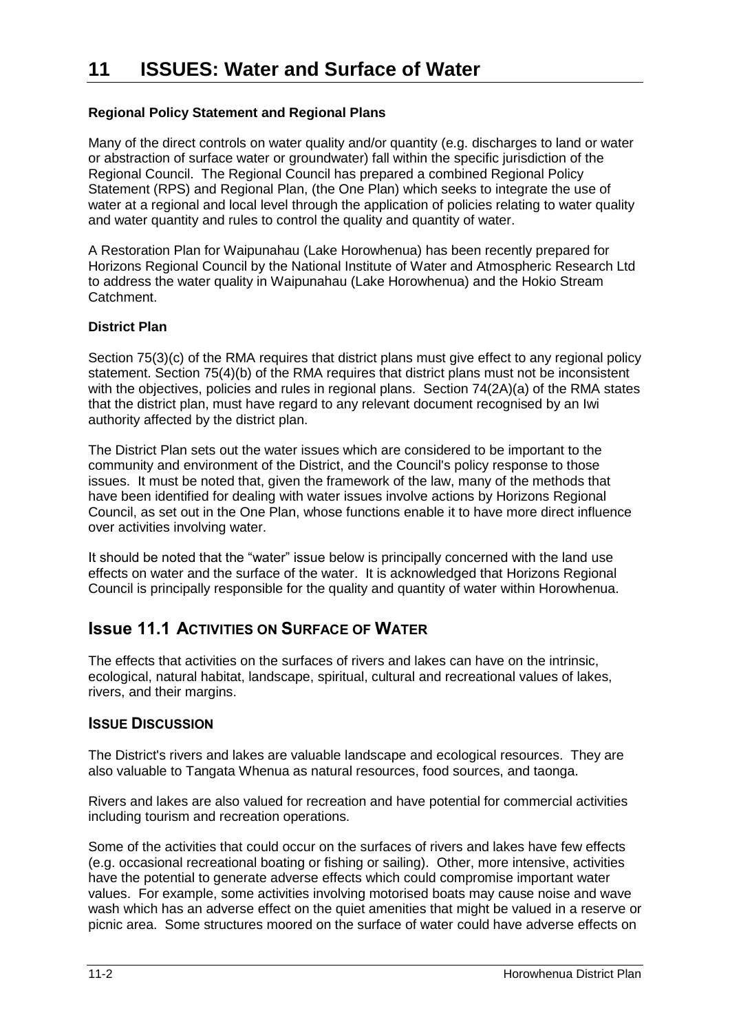### **Regional Policy Statement and Regional Plans**

Many of the direct controls on water quality and/or quantity (e.g. discharges to land or water or abstraction of surface water or groundwater) fall within the specific jurisdiction of the Regional Council. The Regional Council has prepared a combined Regional Policy Statement (RPS) and Regional Plan, (the One Plan) which seeks to integrate the use of water at a regional and local level through the application of policies relating to water quality and water quantity and rules to control the quality and quantity of water.

A Restoration Plan for Waipunahau (Lake Horowhenua) has been recently prepared for Horizons Regional Council by the National Institute of Water and Atmospheric Research Ltd to address the water quality in Waipunahau (Lake Horowhenua) and the Hokio Stream Catchment.

#### **District Plan**

Section 75(3)(c) of the RMA requires that district plans must give effect to any regional policy statement. Section 75(4)(b) of the RMA requires that district plans must not be inconsistent with the objectives, policies and rules in regional plans. Section 74(2A)(a) of the RMA states that the district plan, must have regard to any relevant document recognised by an Iwi authority affected by the district plan.

The District Plan sets out the water issues which are considered to be important to the community and environment of the District, and the Council's policy response to those issues. It must be noted that, given the framework of the law, many of the methods that have been identified for dealing with water issues involve actions by Horizons Regional Council, as set out in the One Plan, whose functions enable it to have more direct influence over activities involving water.

It should be noted that the "water" issue below is principally concerned with the land use effects on water and the surface of the water. It is acknowledged that Horizons Regional Council is principally responsible for the quality and quantity of water within Horowhenua.

### **Issue 11.1 ACTIVITIES ON SURFACE OF WATER**

The effects that activities on the surfaces of rivers and lakes can have on the intrinsic, ecological, natural habitat, landscape, spiritual, cultural and recreational values of lakes, rivers, and their margins.

#### **ISSUE DISCUSSION**

The District's rivers and lakes are valuable landscape and ecological resources. They are also valuable to Tangata Whenua as natural resources, food sources, and taonga.

Rivers and lakes are also valued for recreation and have potential for commercial activities including tourism and recreation operations.

Some of the activities that could occur on the surfaces of rivers and lakes have few effects (e.g. occasional recreational boating or fishing or sailing). Other, more intensive, activities have the potential to generate adverse effects which could compromise important water values. For example, some activities involving motorised boats may cause noise and wave wash which has an adverse effect on the quiet amenities that might be valued in a reserve or picnic area. Some structures moored on the surface of water could have adverse effects on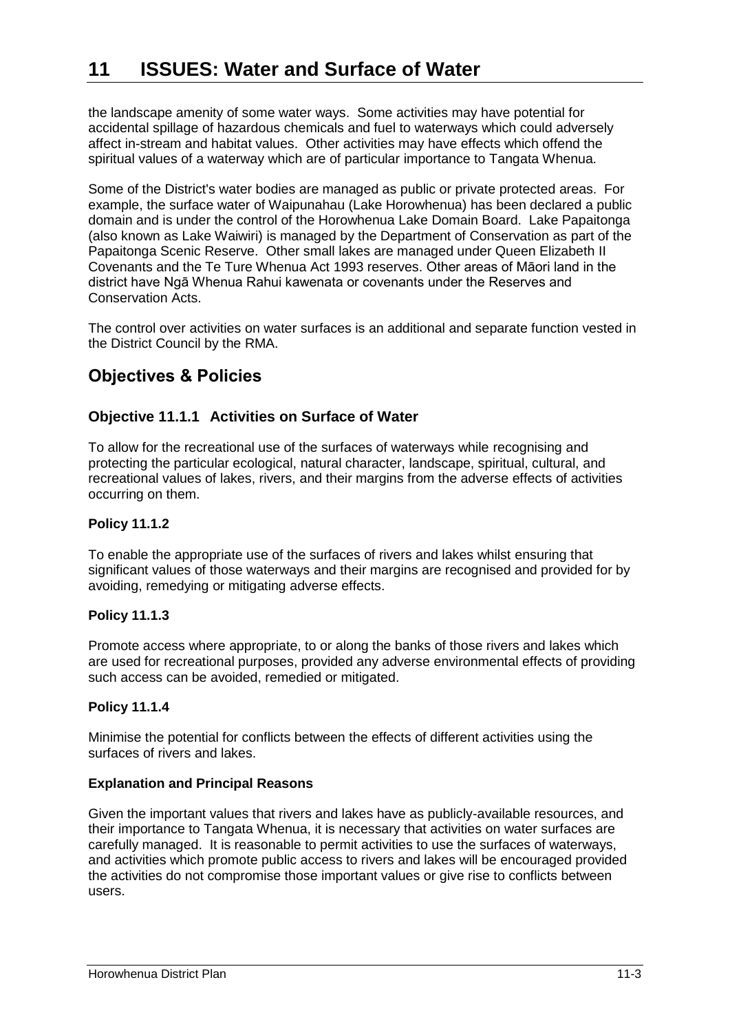the landscape amenity of some water ways. Some activities may have potential for accidental spillage of hazardous chemicals and fuel to waterways which could adversely affect in-stream and habitat values. Other activities may have effects which offend the spiritual values of a waterway which are of particular importance to Tangata Whenua.

Some of the District's water bodies are managed as public or private protected areas. For example, the surface water of Waipunahau (Lake Horowhenua) has been declared a public domain and is under the control of the Horowhenua Lake Domain Board. Lake Papaitonga (also known as Lake Waiwiri) is managed by the Department of Conservation as part of the Papaitonga Scenic Reserve. Other small lakes are managed under Queen Elizabeth II Covenants and the Te Ture Whenua Act 1993 reserves. Other areas of Māori land in the district have Ngā Whenua Rahui kawenata or covenants under the Reserves and Conservation Acts.

The control over activities on water surfaces is an additional and separate function vested in the District Council by the RMA.

# **Objectives & Policies**

### **Objective 11.1.1 Activities on Surface of Water**

To allow for the recreational use of the surfaces of waterways while recognising and protecting the particular ecological, natural character, landscape, spiritual, cultural, and recreational values of lakes, rivers, and their margins from the adverse effects of activities occurring on them.

#### **Policy 11.1.2**

To enable the appropriate use of the surfaces of rivers and lakes whilst ensuring that significant values of those waterways and their margins are recognised and provided for by avoiding, remedying or mitigating adverse effects.

#### **Policy 11.1.3**

Promote access where appropriate, to or along the banks of those rivers and lakes which are used for recreational purposes, provided any adverse environmental effects of providing such access can be avoided, remedied or mitigated.

#### **Policy 11.1.4**

Minimise the potential for conflicts between the effects of different activities using the surfaces of rivers and lakes.

#### **Explanation and Principal Reasons**

Given the important values that rivers and lakes have as publicly-available resources, and their importance to Tangata Whenua, it is necessary that activities on water surfaces are carefully managed. It is reasonable to permit activities to use the surfaces of waterways, and activities which promote public access to rivers and lakes will be encouraged provided the activities do not compromise those important values or give rise to conflicts between users.